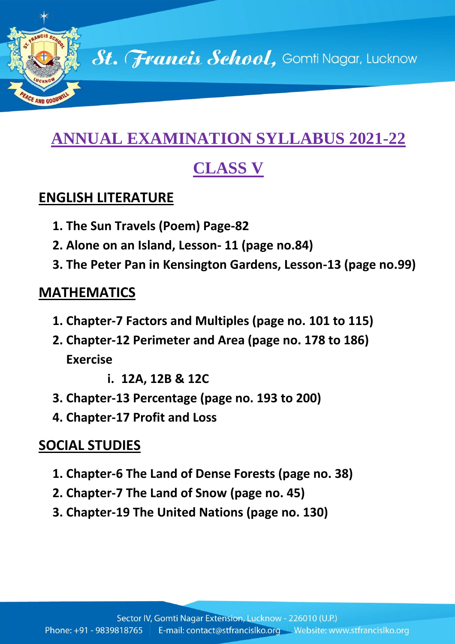

# **ANNUAL EXAMINATION SYLLABUS 2021-22**

# **CLASS V**

#### **ENGLISH LITERATURE**

- **1. The Sun Travels (Poem) Page-82**
- **2. Alone on an Island, Lesson- 11 (page no.84)**
- **3. The Peter Pan in Kensington Gardens, Lesson-13 (page no.99)**

#### **MATHEMATICS**

- **1. Chapter-7 Factors and Multiples (page no. 101 to 115)**
- **2. Chapter-12 Perimeter and Area (page no. 178 to 186) Exercise** 
	- **i. 12A, 12B & 12C**
- **3. Chapter-13 Percentage (page no. 193 to 200)**
- **4. Chapter-17 Profit and Loss**

# **SOCIAL STUDIES**

- **1. Chapter-6 The Land of Dense Forests (page no. 38)**
- **2. Chapter-7 The Land of Snow (page no. 45)**
- **3. Chapter-19 The United Nations (page no. 130)**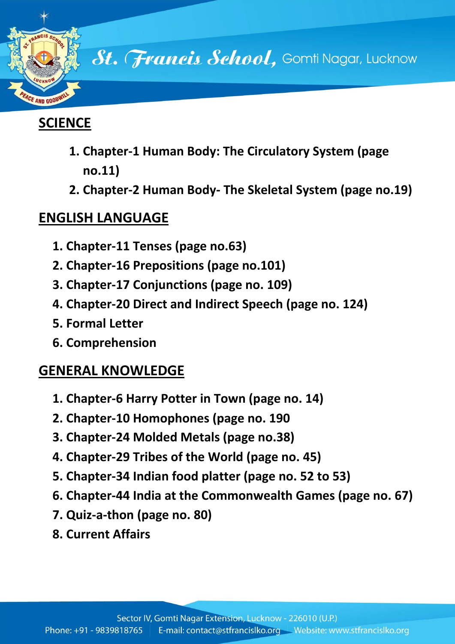

# **SCIENCE**

- **1. Chapter-1 Human Body: The Circulatory System (page no.11)**
- **2. Chapter-2 Human Body- The Skeletal System (page no.19)**

# **ENGLISH LANGUAGE**

- **1. Chapter-11 Tenses (page no.63)**
- **2. Chapter-16 Prepositions (page no.101)**
- **3. Chapter-17 Conjunctions (page no. 109)**
- **4. Chapter-20 Direct and Indirect Speech (page no. 124)**
- **5. Formal Letter**
- **6. Comprehension**

# **GENERAL KNOWLEDGE**

- **1. Chapter-6 Harry Potter in Town (page no. 14)**
- **2. Chapter-10 Homophones (page no. 190**
- **3. Chapter-24 Molded Metals (page no.38)**
- **4. Chapter-29 Tribes of the World (page no. 45)**
- **5. Chapter-34 Indian food platter (page no. 52 to 53)**
- **6. Chapter-44 India at the Commonwealth Games (page no. 67)**
- **7. Quiz-a-thon (page no. 80)**
- **8. Current Affairs**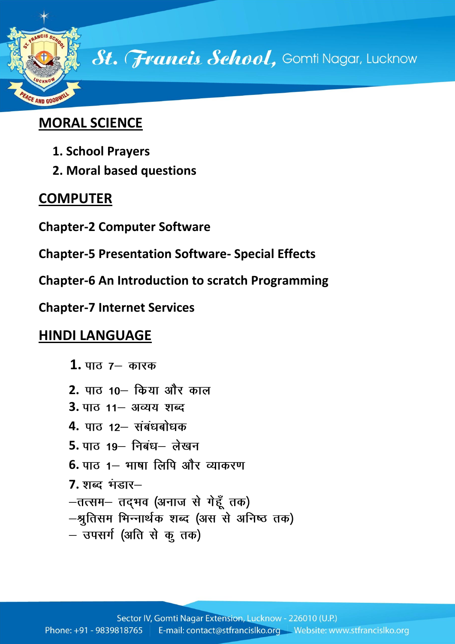

# **MORAL SCIENCE**

- **1. School Prayers**
- **2. Moral based questions**

### **COMPUTER**

- **Chapter-2 Computer Software**
- **Chapter-5 Presentation Software- Special Effects**
- **Chapter-6 An Introduction to scratch Programming**
- **Chapter-7 Internet Services**

#### **HINDI LANGUAGE**

- **1.**
- **2.**
- **3.** पाठ 11– अव्यय शब्द
- **4.**
- 5. पाठ 19- निबंध- लेखन
- **6.** पाठ 1– भाषा लिपि और व्याकरण
- **7.**
- -तत्सम- तद्भव (अनाज से गेहूँ तक)
- –श्रुतिसम भिन्नार्थक शब्द (अस से अनिष्ठ तक)
- उपसर्ग (अति से कु तक)